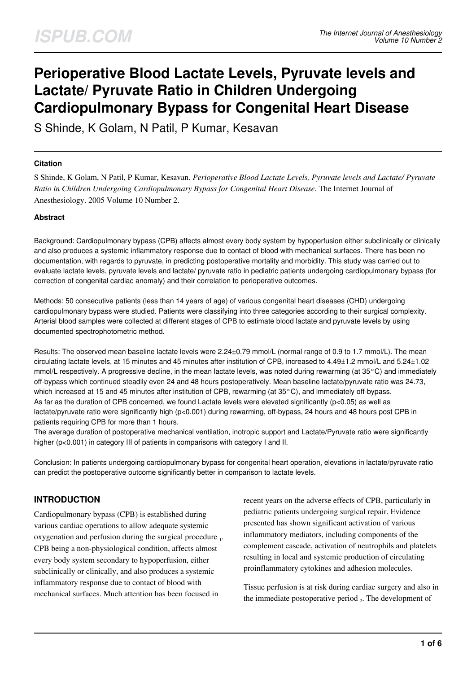# **Perioperative Blood Lactate Levels, Pyruvate levels and Lactate/ Pyruvate Ratio in Children Undergoing Cardiopulmonary Bypass for Congenital Heart Disease**

S Shinde, K Golam, N Patil, P Kumar, Kesavan

#### **Citation**

S Shinde, K Golam, N Patil, P Kumar, Kesavan. *Perioperative Blood Lactate Levels, Pyruvate levels and Lactate/ Pyruvate Ratio in Children Undergoing Cardiopulmonary Bypass for Congenital Heart Disease*. The Internet Journal of Anesthesiology. 2005 Volume 10 Number 2.

#### **Abstract**

Background: Cardiopulmonary bypass (CPB) affects almost every body system by hypoperfusion either subclinically or clinically and also produces a systemic inflammatory response due to contact of blood with mechanical surfaces. There has been no documentation, with regards to pyruvate, in predicting postoperative mortality and morbidity. This study was carried out to evaluate lactate levels, pyruvate levels and lactate/ pyruvate ratio in pediatric patients undergoing cardiopulmonary bypass (for correction of congenital cardiac anomaly) and their correlation to perioperative outcomes.

Methods: 50 consecutive patients (less than 14 years of age) of various congenital heart diseases (CHD) undergoing cardiopulmonary bypass were studied. Patients were classifying into three categories according to their surgical complexity. Arterial blood samples were collected at different stages of CPB to estimate blood lactate and pyruvate levels by using documented spectrophotometric method.

Results: The observed mean baseline lactate levels were 2.24±0.79 mmol/L (normal range of 0.9 to 1.7 mmol/L). The mean circulating lactate levels, at 15 minutes and 45 minutes after institution of CPB, increased to 4.49±1.2 mmol/L and 5.24±1.02 mmol/L respectively. A progressive decline, in the mean lactate levels, was noted during rewarming (at 35°C) and immediately off-bypass which continued steadily even 24 and 48 hours postoperatively. Mean baseline lactate/pyruvate ratio was 24.73, which increased at 15 and 45 minutes after institution of CPB, rewarming (at 35°C), and immediately off-bypass. As far as the duration of CPB concerned, we found Lactate levels were elevated significantly (p<0.05) as well as lactate/pyruvate ratio were significantly high (p<0.001) during rewarming, off-bypass, 24 hours and 48 hours post CPB in patients requiring CPB for more than 1 hours.

The average duration of postoperative mechanical ventilation, inotropic support and Lactate/Pyruvate ratio were significantly higher (p<0.001) in category III of patients in comparisons with category I and II.

Conclusion: In patients undergoing cardiopulmonary bypass for congenital heart operation, elevations in lactate/pyruvate ratio can predict the postoperative outcome significantly better in comparison to lactate levels.

## **INTRODUCTION**

Cardiopulmonary bypass (CPB) is established during various cardiac operations to allow adequate systemic oxygenation and perfusion during the surgical procedure 1. CPB being a non-physiological condition, affects almost every body system secondary to hypoperfusion, either subclinically or clinically, and also produces a systemic inflammatory response due to contact of blood with mechanical surfaces. Much attention has been focused in

recent years on the adverse effects of CPB, particularly in pediatric patients undergoing surgical repair. Evidence presented has shown significant activation of various inflammatory mediators, including components of the complement cascade, activation of neutrophils and platelets resulting in local and systemic production of circulating proinflammatory cytokines and adhesion molecules.

Tissue perfusion is at risk during cardiac surgery and also in the immediate postoperative period  $_2$ . The development of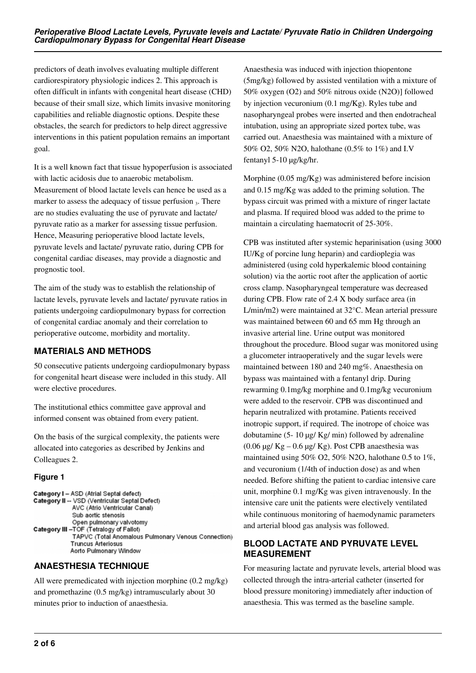predictors of death involves evaluating multiple different cardiorespiratory physiologic indices 2. This approach is often difficult in infants with congenital heart disease (CHD) because of their small size, which limits invasive monitoring capabilities and reliable diagnostic options. Despite these obstacles, the search for predictors to help direct aggressive interventions in this patient population remains an important goal.

It is a well known fact that tissue hypoperfusion is associated with lactic acidosis due to anaerobic metabolism. Measurement of blood lactate levels can hence be used as a marker to assess the adequacy of tissue perfusion  $_3$ . There are no studies evaluating the use of pyruvate and lactate/ pyruvate ratio as a marker for assessing tissue perfusion. Hence, Measuring perioperative blood lactate levels, pyruvate levels and lactate/ pyruvate ratio, during CPB for congenital cardiac diseases, may provide a diagnostic and prognostic tool.

The aim of the study was to establish the relationship of lactate levels, pyruvate levels and lactate/ pyruvate ratios in patients undergoing cardiopulmonary bypass for correction of congenital cardiac anomaly and their correlation to perioperative outcome, morbidity and mortality.

## **MATERIALS AND METHODS**

50 consecutive patients undergoing cardiopulmonary bypass for congenital heart disease were included in this study. All were elective procedures.

The institutional ethics committee gave approval and informed consent was obtained from every patient.

On the basis of the surgical complexity, the patients were allocated into categories as described by Jenkins and Colleagues 2.

#### **Figure 1**

```
Category I - ASD (Atrial Septal defect)
Category II -- VSD (Ventricular Septal Defect)
             AVC (Atrio Ventricular Canal)
             Sub aortic stenosis
             Open pulmonary valvotomy
Category III - TOF (Tetralogy of Fallot)
             TAPVC (Total Anomalous Pulmonary Venous Connection)
             Truncus Arteriosus
            Aorto Pulmonary Window
```
# **ANAESTHESIA TECHNIQUE**

All were premedicated with injection morphine (0.2 mg/kg) and promethazine (0.5 mg/kg) intramuscularly about 30 minutes prior to induction of anaesthesia.

Anaesthesia was induced with injection thiopentone (5mg/kg) followed by assisted ventilation with a mixture of 50% oxygen (O2) and 50% nitrous oxide (N2O)] followed by injection vecuronium (0.1 mg/Kg). Ryles tube and nasopharyngeal probes were inserted and then endotracheal intubation, using an appropriate sized portex tube, was carried out. Anaesthesia was maintained with a mixture of 50% O2, 50% N2O, halothane (0.5% to 1%) and I.V fentanyl 5-10 µg/kg/hr.

Morphine (0.05 mg/Kg) was administered before incision and 0.15 mg/Kg was added to the priming solution. The bypass circuit was primed with a mixture of ringer lactate and plasma. If required blood was added to the prime to maintain a circulating haematocrit of 25-30%.

CPB was instituted after systemic heparinisation (using 3000 IU/Kg of porcine lung heparin) and cardioplegia was administered (using cold hyperkalemic blood containing solution) via the aortic root after the application of aortic cross clamp. Nasopharyngeal temperature was decreased during CPB. Flow rate of 2.4 X body surface area (in L/min/m2) were maintained at 32°C. Mean arterial pressure was maintained between 60 and 65 mm Hg through an invasive arterial line. Urine output was monitored throughout the procedure. Blood sugar was monitored using a glucometer intraoperatively and the sugar levels were maintained between 180 and 240 mg%. Anaesthesia on bypass was maintained with a fentanyl drip. During rewarming 0.1mg/kg morphine and 0.1mg/kg vecuronium were added to the reservoir. CPB was discontinued and heparin neutralized with protamine. Patients received inotropic support, if required. The inotrope of choice was dobutamine (5- 10  $\mu$ g/ Kg/ min) followed by adrenaline (0.06 µg/ Kg – 0.6 µg/ Kg). Post CPB anaesthesia was maintained using 50% O2, 50% N2O, halothane 0.5 to 1%, and vecuronium (1/4th of induction dose) as and when needed. Before shifting the patient to cardiac intensive care unit, morphine 0.1 mg/Kg was given intravenously. In the intensive care unit the patients were electively ventilated while continuous monitoring of haemodynamic parameters and arterial blood gas analysis was followed.

## **BLOOD LACTATE AND PYRUVATE LEVEL MEASUREMENT**

For measuring lactate and pyruvate levels, arterial blood was collected through the intra-arterial catheter (inserted for blood pressure monitoring) immediately after induction of anaesthesia. This was termed as the baseline sample.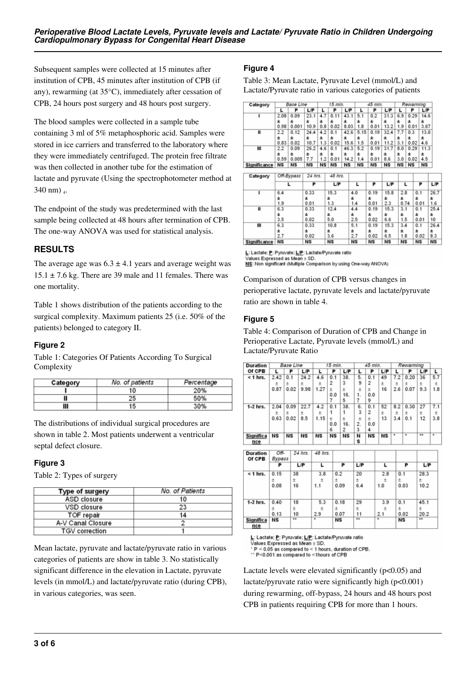Subsequent samples were collected at 15 minutes after institution of CPB, 45 minutes after institution of CPB (if any), rewarming (at 35°C), immediately after cessation of CPB, 24 hours post surgery and 48 hours post surgery.

The blood samples were collected in a sample tube containing 3 ml of 5% metaphosphoric acid. Samples were stored in ice carriers and transferred to the laboratory where they were immediately centrifuged. The protein free filtrate was then collected in another tube for the estimation of lactate and pyruvate (Using the spectrophotometer method at  $340$  nm)  $_4$ .

The endpoint of the study was predetermined with the last sample being collected at 48 hours after termination of CPB. The one-way ANOVA was used for statistical analysis.

## **RESULTS**

The average age was  $6.3 \pm 4.1$  years and average weight was  $15.1 \pm 7.6$  kg. There are 39 male and 11 females. There was one mortality.

Table 1 shows distribution of the patients according to the surgical complexity. Maximum patients 25 (i.e. 50% of the patients) belonged to category II.

## **Figure 2**

Table 1: Categories Of Patients According To Surgical Complexity

| Category | No. of patients | Percentage |  |  |  |  |
|----------|-----------------|------------|--|--|--|--|
|          | 10              | 20%        |  |  |  |  |
| Π        | 25              | 50%        |  |  |  |  |
| Ш        | 15              | 30%        |  |  |  |  |

The distributions of individual surgical procedures are shown in table 2. Most patients underwent a ventricular septal defect closure.

#### **Figure 3**

Table 2: Types of surgery

| Type of surgery       | <b>No.</b> of Patients |  |  |  |
|-----------------------|------------------------|--|--|--|
| <b>ASD closure</b>    | 10                     |  |  |  |
| VSD closure           | 23                     |  |  |  |
| TOF repair            | 14                     |  |  |  |
| A-V Canal Closure     |                        |  |  |  |
| <b>TGV</b> correction |                        |  |  |  |

Mean lactate, pyruvate and lactate/pyruvate ratio in various categories of patients are show in table 3. No statistically significant difference in the elevation in Lactate, pyruvate levels (in mmol/L) and lactate/pyruvate ratio (during CPB), in various categories, was seen.

## **Figure 4**

Table 3: Mean Lactate, Pyruvate Level (mmol/L) and Lactate/Pyruvate ratio in various categories of patients

| Category            | Base Line  |           |           | 15 min. |           |            |           | 45 min. |           |      | Rewarming |           |           |
|---------------------|------------|-----------|-----------|---------|-----------|------------|-----------|---------|-----------|------|-----------|-----------|-----------|
|                     | L          | P         | L/P       | L       | P         | <b>L/P</b> | L         | P       | L/P       | L    | P         | L/P       |           |
| ı                   | 2.08       | 0.09      | 23.1      | 4.7     | 0.11      | 43.1       | 5.1       | 0.2     | 31.3      | 6.9  | 0.29      | 14.6      |           |
|                     | ±          | ±         | ±         | ±       | ±         | ±          | ±         | ÷.      | 士         | ±    | ±         | 土         |           |
|                     | 0.98       | 0.001     | 10.9      | 0.8     | 0.02      | 8.03       | 1.8       | 0.01    | 13.2      | 1.9  | 0.01      | 3.67      |           |
| Ш                   | 2.2        | 0.12      | 24.4      | 4.2     | 0.1       | 42.6       | 5.15      | 0.19    | 32.4      | 7.7  | 0.3       | 13.0      |           |
|                     | ±          | ±         | ±         | ±       | ±         | ±          | 士         | ±       | ±         | 士    | ±         | 土         |           |
|                     | 0.83       | 0.02      | 10.7      | 1.3     | 0.02      | 15.6       | 1.5       | 0.01    | 11.2      | 3.1  | 0.02      | 4.6       |           |
| Ш                   | 2.2        | 0.09      | 26.2      | 4.6     | 0.1       | 46.3       | 5.2       | 0.19    | 31.7      | 8.0  | 0.29      | 11.3      |           |
|                     | Ŧ          | ±         | ±         | ±       | ±         | Ŧ          | ±         | ±       | ±         | ±    | Ŧ         | ±         |           |
|                     | 0.59       | 0.005     | 7.7       | 1.2     | 0.01      | 14.2       | 1.4       | 0.01    | 8.6       | 3.0  | 0.02      | 4.5       |           |
| <b>Significance</b> | NS         | <b>NS</b> | <b>NS</b> | NS      | NS        | NS         | NS        | NS      | NS        | NS   | NS        | <b>NS</b> |           |
|                     |            |           |           |         |           |            |           |         |           |      |           |           |           |
| Category            | Off-Bypass |           | 24 hrs.   |         | 48 hrs.   |            |           |         |           |      |           |           |           |
|                     |            | L         | P         |         | L/P       |            | L         | P       | L/P       |      | L         | P         | L/P       |
| ī                   | 6.4        |           | 0.33      |         | 15.3      |            | 4.0       | 0.19    | 15.8      | 2.8  |           | 0.1       | 26.7      |
|                     | Ŧ          |           | $\pm$     |         | ±         | ±          |           | ±       | ±         | ±    |           | Ŧ         | ±         |
|                     | 1.9        |           | 0.01      |         | 1.3       |            | 1.4       | 0.01    | 2.3       | 0.74 |           | 0.01      | 1.6       |
| π                   | 6.3        |           | 0.33      |         | 12.4      |            | 4.4       | 0.19    | 15.3      | 3.1  |           | 0.1       | 25.4      |
|                     | ±          |           | 士         |         | 土         | ±          |           | ±       | ±         | Ŧ    |           | 士         | ±         |
|                     | 3.5        |           | 0.02      |         | 5.0       |            | 2.5       | 0.02    | 6.6       | 1.5  |           | 0.01      | 10        |
| Ш                   | 6.3        |           | 0.33      |         | 10.8      |            | 5.1       | 0.19    | 15.3      | 3.4  |           | 0.1       | 26.4      |
|                     | ±          |           | ±         |         | ±         | ±          |           | 士       | ±         | 士    |           | 士         | ±         |
|                     | 2.7        |           | 0.02      |         | 3.6       |            | 2.7       | 0.02    | 6.5       | 1.8  |           | 0.02      | 8.3       |
| Significance        | <b>NS</b>  |           | NS        |         | <b>NS</b> |            | <b>NS</b> | NS      | <b>NS</b> | NS   |           | <b>NS</b> | <b>NS</b> |

L: Lactate; P: Pyruvate; L/P: Lactate/Pyruvate ratio

Values Expressed as Mean  $\pm$  SD. NS: Non significant (Multiple Comparison by using One-way ANOVA)

Comparison of duration of CPB versus changes in perioperative lactate, pyruvate levels and lactate/pyruvate ratio are shown in table 4.

## **Figure 5**

Table 4: Comparison of Duration of CPB and Change in Perioperative Lactate, Pyruvate levels (mmol/L) and Lactate/Pyruvate Ratio

| <b>Duration</b>  | Base Line |               |           | 15 min.   |                |                | 45 min.          |           |           | Rewarming                |                |                |                          |
|------------------|-----------|---------------|-----------|-----------|----------------|----------------|------------------|-----------|-----------|--------------------------|----------------|----------------|--------------------------|
| Of CPB           | L         | P             | L/P       | L         | P              | L/P            | L                | P         | L/P       | L                        | P              | L/P            | г                        |
| $<$ 1 hrs.       | 2.42      | 0.1           | 24.2      | 4.6       | 0.1            | 38.            | 5.               | 0.1       | 49        | 7.2                      | 0.20           | 36             | 5.7                      |
|                  | 士         | 士             | $\pm$     | $\pm$     | $\overline{2}$ | 3              | 9                | 2         | $_{\pm}$  | $\pm$                    | 士              | Ŧ.             | Ŧ.                       |
|                  | 0.87      | 0.02          | 9.98      | 1.27      | Ŧ              | ±              | $\pm$            | Ŧ         | 16        | 2.6                      | 0.07           | 9.3            | 1.8                      |
|                  |           |               |           |           | 0.0            | 16.            | 1.               | 0.0       |           |                          |                |                |                          |
|                  |           |               |           |           | 7              | 5              | 7                | 9         |           |                          |                |                |                          |
| $1-2$ hrs.       | 2.04      | 0.09          | 22.7      | 4.2       | 0.1            | 38.            | 6.               | 0.1       | 52        | 8.2                      | 0.30           | 27             | 7.1                      |
|                  | 土         | $\pm$         | $\pm$     | $\pm$     | 1              | 1              | 3                | 2         | Ŧ         | $_{\pm}$                 | Ŧ              | Ŧ              | $_{\pm}$                 |
|                  | 0.63      | 0.02          | 8.5       | 1.15      | $\pm$          | Ŧ              | $\pm$            | $\pm$     | 13        | 3.4                      | 0.1            | 12             | 3.8                      |
|                  |           |               |           |           | 0.0            | 16.            | 2.               | 0.0       |           |                          |                |                |                          |
|                  |           |               |           |           | 6              | $\overline{2}$ | 3                | 4         |           | $\overline{\phantom{a}}$ | $\overline{a}$ | $\overline{1}$ | $\overline{\phantom{a}}$ |
| <b>Significa</b> | NS        | <b>NS</b>     | <b>NS</b> | <b>NS</b> | <b>NS</b>      | <b>NS</b>      | N                | <b>NS</b> | <b>NS</b> |                          |                |                |                          |
| nce              |           |               |           |           |                |                | s                |           |           |                          |                |                |                          |
| <b>Duration</b>  | Off-      |               | 24 hrs.   | 48 hrs.   |                |                |                  |           |           |                          |                |                |                          |
| Of CPB           | Bypass    |               |           |           |                |                |                  |           |           |                          |                |                |                          |
|                  | P         |               | L/P       | L         |                | P              | L/P              |           | г         |                          | P              | L/P            |                          |
| $<$ 1 hrs.       | 0.15      | 38            |           | 3.8       | 0.2            |                | 20               |           | 2.8       | 0.1                      |                | 28.3           |                          |
|                  | ±         | $\pm$         |           | ±         | ±              |                | Ŧ                |           | ±         | ±                        |                | ±              |                          |
|                  | 0.08      | 16            |           | 1.1       |                | 0.09           | 6.4              |           | 1.0       |                          | 0.03           | 10.2           |                          |
|                  |           |               |           |           |                |                |                  |           |           |                          |                |                |                          |
| $1-2$ hrs.       | 0.40      | 18            |           | 5.3       |                | 0.18           | 29               |           | 3.9       | 0.1                      |                | 45.1           |                          |
|                  | ÷         | $+$           |           | ±         | ÷              |                | $\pm$            |           | ±         | ÷                        |                | ÷              |                          |
|                  | 0.13      | 10            |           | 2.9       |                | 0.07           | 11               |           | 2.1       |                          | 0.02           | 20.2           |                          |
| <b>Significa</b> | <b>NS</b> | $\overline{}$ |           | ٠         | <b>NS</b>      |                | $\bullet\bullet$ |           | $\star$   | <b>NS</b>                |                | **             |                          |
| nee              |           |               |           |           |                |                |                  |           |           |                          |                |                |                          |

L: Lactate; P: Pyruvate; L/P: Lactate/Pyruvate ratio

Values Expressed as Mean ± SD.

 $P < 0.05$  as compared to < 1 hours, duration of CPB.<br>\* P<0.05 as compared to < 1 hours, duration of CPB.

Lactate levels were elevated significantly  $(p<0.05)$  and lactate/pyruvate ratio were significantly high  $(p<0.001)$ during rewarming, off-bypass, 24 hours and 48 hours post CPB in patients requiring CPB for more than 1 hours.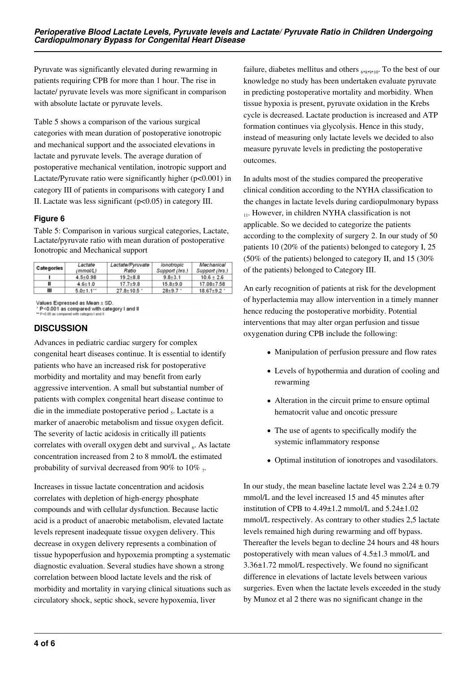Pyruvate was significantly elevated during rewarming in patients requiring CPB for more than 1 hour. The rise in lactate/ pyruvate levels was more significant in comparison with absolute lactate or pyruvate levels.

Table 5 shows a comparison of the various surgical categories with mean duration of postoperative ionotropic and mechanical support and the associated elevations in lactate and pyruvate levels. The average duration of postoperative mechanical ventilation, inotropic support and Lactate/Pyruvate ratio were significantly higher (p<0.001) in category III of patients in comparisons with category I and II. Lactate was less significant (p<0.05) in category III.

## **Figure 6**

Table 5: Comparison in various surgical categories, Lactate, Lactate/pyruvate ratio with mean duration of postoperative Ionotropic and Mechanical support

| <b>Categories</b> | Lactate<br>(mmol/L)       | Lactate/Pyruvate<br>Ratio | lonotropic<br>Support (hrs.) | Mechanical<br>Support (hrs.) |  |  |
|-------------------|---------------------------|---------------------------|------------------------------|------------------------------|--|--|
|                   | $4.5 + 0.98$              | $19.2 + 8.8$              | $9.8 + 3.1$                  | $10.6 \pm 2.6$               |  |  |
| Ш                 | $4.6 + 1.0$               | $17.7 + 9.8$              | $15.8 + 9.0$                 | 17.08 + 7.58                 |  |  |
| Ш                 | $5.0 + 1.1$ <sup>**</sup> | $27.8 + 10.5$             | $28+9.7$                     | $18.67 + 9.2$                |  |  |

Values Expressed as Mean ± SD.

\* P<0.001 as compared with category I and II

## **DISCUSSION**

Advances in pediatric cardiac surgery for complex congenital heart diseases continue. It is essential to identify patients who have an increased risk for postoperative morbidity and mortality and may benefit from early aggressive intervention. A small but substantial number of patients with complex congenital heart disease continue to die in the immediate postoperative period  $<sub>5</sub>$ . Lactate is a</sub> marker of anaerobic metabolism and tissue oxygen deficit. The severity of lactic acidosis in critically ill patients correlates with overall oxygen debt and survival  $_6$ . As lactate concentration increased from 2 to 8 mmol/L the estimated probability of survival decreased from 90% to 10%  $_7$ .

Increases in tissue lactate concentration and acidosis correlates with depletion of high-energy phosphate compounds and with cellular dysfunction. Because lactic acid is a product of anaerobic metabolism, elevated lactate levels represent inadequate tissue oxygen delivery. This decrease in oxygen delivery represents a combination of tissue hypoperfusion and hypoxemia prompting a systematic diagnostic evaluation. Several studies have shown a strong correlation between blood lactate levels and the risk of morbidity and mortality in varying clinical situations such as circulatory shock, septic shock, severe hypoxemia, liver

failure, diabetes mellitus and others  $_{6,8,9,910}$ . To the best of our knowledge no study has been undertaken evaluate pyruvate in predicting postoperative mortality and morbidity. When tissue hypoxia is present, pyruvate oxidation in the Krebs cycle is decreased. Lactate production is increased and ATP formation continues via glycolysis. Hence in this study, instead of measuring only lactate levels we decided to also measure pyruvate levels in predicting the postoperative outcomes.

In adults most of the studies compared the preoperative clinical condition according to the NYHA classification to the changes in lactate levels during cardiopulmonary bypass  $_{11}$ . However, in children NYHA classification is not applicable. So we decided to categorize the patients according to the complexity of surgery 2. In our study of 50 patients 10 (20% of the patients) belonged to category I, 25 (50% of the patients) belonged to category II, and 15 (30% of the patients) belonged to Category III.

An early recognition of patients at risk for the development of hyperlactemia may allow intervention in a timely manner hence reducing the postoperative morbidity. Potential interventions that may alter organ perfusion and tissue oxygenation during CPB include the following:

- Manipulation of perfusion pressure and flow rates
- Levels of hypothermia and duration of cooling and rewarming
- Alteration in the circuit prime to ensure optimal hematocrit value and oncotic pressure
- The use of agents to specifically modify the systemic inflammatory response
- Optimal institution of ionotropes and vasodilators.

In our study, the mean baseline lactate level was  $2.24 \pm 0.79$ mmol/L and the level increased 15 and 45 minutes after institution of CPB to 4.49±1.2 mmol/L and 5.24±1.02 mmol/L respectively. As contrary to other studies 2,5 lactate levels remained high during rewarming and off bypass. Thereafter the levels began to decline 24 hours and 48 hours postoperatively with mean values of 4.5±1.3 mmol/L and 3.36±1.72 mmol/L respectively. We found no significant difference in elevations of lactate levels between various surgeries. Even when the lactate levels exceeded in the study by Munoz et al 2 there was no significant change in the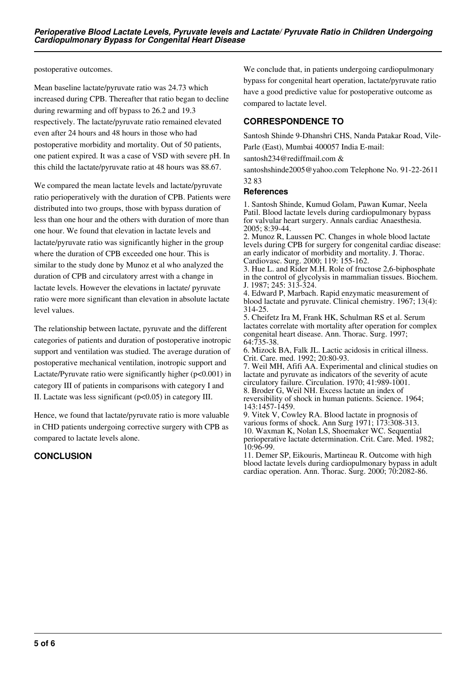postoperative outcomes.

Mean baseline lactate/pyruvate ratio was 24.73 which increased during CPB. Thereafter that ratio began to decline during rewarming and off bypass to 26.2 and 19.3 respectively. The lactate/pyruvate ratio remained elevated even after 24 hours and 48 hours in those who had postoperative morbidity and mortality. Out of 50 patients, one patient expired. It was a case of VSD with severe pH. In this child the lactate/pyruvate ratio at 48 hours was 88.67.

We compared the mean lactate levels and lactate/pyruvate ratio perioperatively with the duration of CPB. Patients were distributed into two groups, those with bypass duration of less than one hour and the others with duration of more than one hour. We found that elevation in lactate levels and lactate/pyruvate ratio was significantly higher in the group where the duration of CPB exceeded one hour. This is similar to the study done by Munoz et al who analyzed the duration of CPB and circulatory arrest with a change in lactate levels. However the elevations in lactate/ pyruvate ratio were more significant than elevation in absolute lactate level values.

The relationship between lactate, pyruvate and the different categories of patients and duration of postoperative inotropic support and ventilation was studied. The average duration of postoperative mechanical ventilation, inotropic support and Lactate/Pyruvate ratio were significantly higher  $(p<0.001)$  in category III of patients in comparisons with category I and II. Lactate was less significant (p<0.05) in category III.

Hence, we found that lactate/pyruvate ratio is more valuable in CHD patients undergoing corrective surgery with CPB as compared to lactate levels alone.

## **CONCLUSION**

We conclude that, in patients undergoing cardiopulmonary bypass for congenital heart operation, lactate/pyruvate ratio have a good predictive value for postoperative outcome as compared to lactate level.

# **CORRESPONDENCE TO**

Santosh Shinde 9-Dhanshri CHS, Nanda Patakar Road, Vile-Parle (East), Mumbai 400057 India E-mail:

santosh234@rediffmail.com &

santoshshinde2005@yahoo.com Telephone No. 91-22-2611 32 83

#### **References**

1. Santosh Shinde, Kumud Golam, Pawan Kumar, Neela Patil. Blood lactate levels during cardiopulmonary bypass for valvular heart surgery. Annals cardiac Anaesthesia. 2005; 8:39-44.

2. Munoz R, Laussen PC. Changes in whole blood lactate levels during CPB for surgery for congenital cardiac disease: an early indicator of morbidity and mortality. J. Thorac. Cardiovasc. Surg. 2000; 119: 155-162.

3. Hue L. and Rider M.H. Role of fructose 2,6-biphosphate in the control of glycolysis in mammalian tissues. Biochem. J. 1987; 245: 313-324.

4. Edward P, Marbach. Rapid enzymatic measurement of blood lactate and pyruvate. Clinical chemistry. 1967; 13(4): 314-25.

5. Cheifetz Ira M, Frank HK, Schulman RS et al. Serum lactates correlate with mortality after operation for complex congenital heart disease. Ann. Thorac. Surg. 1997; 64:735-38.

6. Mizock BA, Falk JL. Lactic acidosis in critical illness. Crit. Care. med. 1992; 20:80-93.

7. Weil MH, Afifi AA. Experimental and clinical studies on lactate and pyruvate as indicators of the severity of acute circulatory failure. Circulation. 1970; 41:989-1001.

8. Broder G, Weil NH. Excess lactate an index of reversibility of shock in human patients. Science. 1964; 143:1457-1459.

9. Vitek V, Cowley RA. Blood lactate in prognosis of various forms of shock. Ann Surg 1971; 173:308-313. 10. Waxman K, Nolan LS, Shoemaker WC. Sequential perioperative lactate determination. Crit. Care. Med. 1982; 10:96-99.

11. Demer SP, Eikouris, Martineau R. Outcome with high blood lactate levels during cardiopulmonary bypass in adult cardiac operation. Ann. Thorac. Surg. 2000; 70:2082-86.